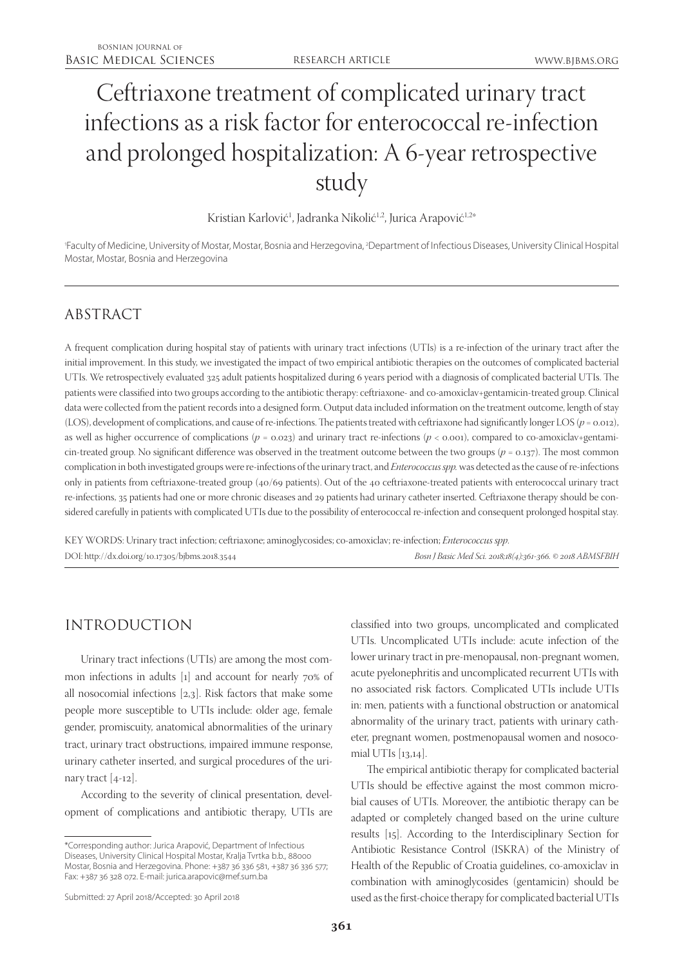# Ceftriaxone treatment of complicated urinary tract infections as a risk factor for enterococcal re-infection and prolonged hospitalization: A 6-year retrospective study

Kristian Karlović<sup>1</sup>, Jadranka Nikolić<sup>1,2</sup>, Jurica Arapović<sup>1,2</sup>\*

'Faculty of Medicine, University of Mostar, Mostar, Bosnia and Herzegovina, <sup>2</sup>Department of Infectious Diseases, University Clinical Hospital Mostar, Mostar, Bosnia and Herzegovina

## ABSTRACT

A frequent complication during hospital stay of patients with urinary tract infections (UTIs) is a re-infection of the urinary tract after the initial improvement. In this study, we investigated the impact of two empirical antibiotic therapies on the outcomes of complicated bacterial UTIs. We retrospectively evaluated 325 adult patients hospitalized during 6 years period with a diagnosis of complicated bacterial UTIs. The patients were classified into two groups according to the antibiotic therapy: ceftriaxone- and co-amoxiclav+gentamicin-treated group. Clinical data were collected from the patient records into a designed form. Output data included information on the treatment outcome, length of stay (LOS), development of complications, and cause of re-infections. The patients treated with ceftriaxone had significantly longer LOS (*p* = 0.012), as well as higher occurrence of complications ( $p = 0.023$ ) and urinary tract re-infections ( $p < 0.001$ ), compared to co-amoxiclav+gentamicin-treated group. No significant difference was observed in the treatment outcome between the two groups  $(p = 0.137)$ . The most common complication in both investigated groups were re-infections of the urinary tract, and *Enterococcus spp.* was detected as the cause of re-infections only in patients from ceftriaxone-treated group (40/69 patients). Out of the 40 ceftriaxone-treated patients with enterococcal urinary tract re-infections, 35 patients had one or more chronic diseases and 29 patients had urinary catheter inserted. Ceftriaxone therapy should be considered carefully in patients with complicated UTIs due to the possibility of enterococcal re-infection and consequent prolonged hospital stay.

KEY WORDS: Urinary tract infection; ceftriaxone; aminoglycosides; co-amoxiclav; re-infection; *Enterococcus spp*. DOI: http://dx.doi.org/10.17305/bjbms.2018.3544 *Bosn J Basic Med Sci. 2018;18(4):361-366. © 2018 ABMSFBIH*

## INTRODUCTION

Urinary tract infections (UTIs) are among the most common infections in adults [1] and account for nearly 70% of all nosocomial infections [2,3]. Risk factors that make some people more susceptible to UTIs include: older age, female gender, promiscuity, anatomical abnormalities of the urinary tract, urinary tract obstructions, impaired immune response, urinary catheter inserted, and surgical procedures of the urinary tract [4-12].

According to the severity of clinical presentation, development of complications and antibiotic therapy, UTIs are

\*Corresponding author: Jurica Arapović, Department of Infectious Diseases, University Clinical Hospital Mostar, Kralja Tvrtka b.b., 88000 Mostar, Bosnia and Herzegovina. Phone: +387 36 336 581, +387 36 336 577; Fax: +387 36 328 072. E-mail: jurica.arapovic@mef.sum.ba

classified into two groups, uncomplicated and complicated UTIs. Uncomplicated UTIs include: acute infection of the lower urinary tract in pre-menopausal, non-pregnant women, acute pyelonephritis and uncomplicated recurrent UTIs with no associated risk factors. Complicated UTIs include UTIs in: men, patients with a functional obstruction or anatomical abnormality of the urinary tract, patients with urinary catheter, pregnant women, postmenopausal women and nosocomial UTIs [13,14].

The empirical antibiotic therapy for complicated bacterial UTIs should be effective against the most common microbial causes of UTIs. Moreover, the antibiotic therapy can be adapted or completely changed based on the urine culture results [15]. According to the Interdisciplinary Section for Antibiotic Resistance Control (ISKRA) of the Ministry of Health of the Republic of Croatia guidelines, co-amoxiclav in combination with aminoglycosides (gentamicin) should be used as the first-choice therapy for complicated bacterial UTIs

Submitted: 27 April 2018/Accepted: 30 April 2018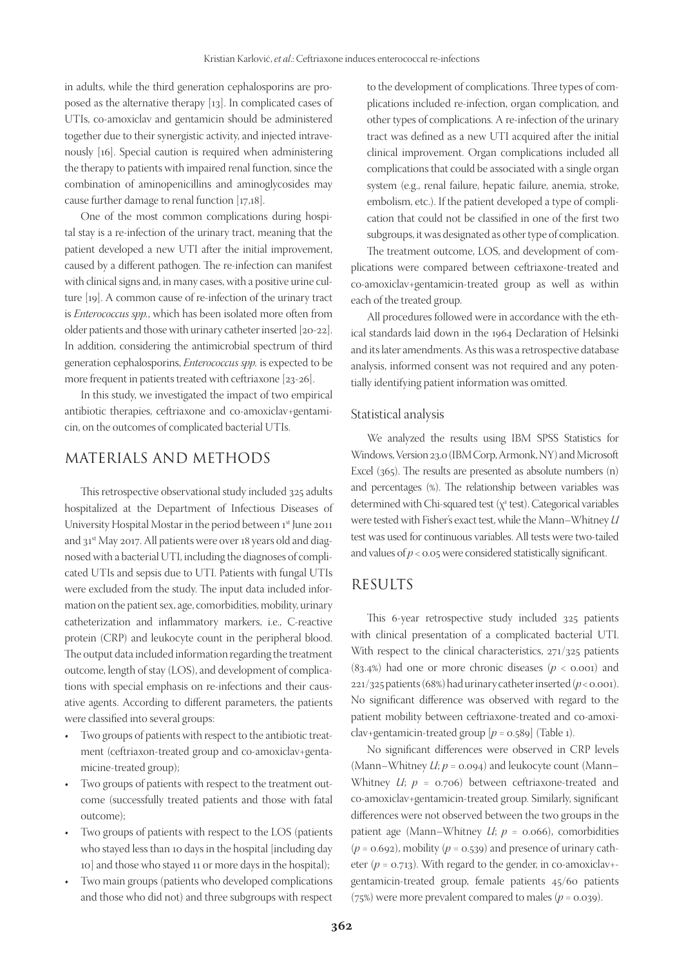in adults, while the third generation cephalosporins are proposed as the alternative therapy [13]. In complicated cases of UTIs, co-amoxiclav and gentamicin should be administered together due to their synergistic activity, and injected intravenously [16]. Special caution is required when administering the therapy to patients with impaired renal function, since the combination of aminopenicillins and aminoglycosides may cause further damage to renal function [17,18].

One of the most common complications during hospital stay is a re-infection of the urinary tract, meaning that the patient developed a new UTI after the initial improvement, caused by a different pathogen. The re-infection can manifest with clinical signs and, in many cases, with a positive urine culture [19]. A common cause of re-infection of the urinary tract is *Enterococcus spp.*, which has been isolated more often from older patients and those with urinary catheter inserted [20-22]. In addition, considering the antimicrobial spectrum of third generation cephalosporins, *Enterococcus spp.* is expected to be more frequent in patients treated with ceftriaxone [23-26].

In this study, we investigated the impact of two empirical antibiotic therapies, ceftriaxone and co-amoxiclav+gentamicin, on the outcomes of complicated bacterial UTIs.

### MATERIALS AND METHODS

This retrospective observational study included 325 adults hospitalized at the Department of Infectious Diseases of University Hospital Mostar in the period between 1st June 2011 and 31<sup>st</sup> May 2017. All patients were over 18 years old and diagnosed with a bacterial UTI, including the diagnoses of complicated UTIs and sepsis due to UTI. Patients with fungal UTIs were excluded from the study. The input data included information on the patient sex, age, comorbidities, mobility, urinary catheterization and inflammatory markers, i.e., C-reactive protein (CRP) and leukocyte count in the peripheral blood. The output data included information regarding the treatment outcome, length of stay (LOS), and development of complications with special emphasis on re-infections and their causative agents. According to different parameters, the patients were classified into several groups:

- Two groups of patients with respect to the antibiotic treatment (ceftriaxon-treated group and co-amoxiclav+gentamicine-treated group);
- Two groups of patients with respect to the treatment outcome (successfully treated patients and those with fatal outcome);
- • Two groups of patients with respect to the LOS (patients who stayed less than 10 days in the hospital [including day 10] and those who stayed 11 or more days in the hospital);
- Two main groups (patients who developed complications and those who did not) and three subgroups with respect

to the development of complications. Three types of complications included re-infection, organ complication, and other types of complications. A re-infection of the urinary tract was defined as a new UTI acquired after the initial clinical improvement. Organ complications included all complications that could be associated with a single organ system (e.g., renal failure, hepatic failure, anemia, stroke, embolism, etc.). If the patient developed a type of complication that could not be classified in one of the first two subgroups, it was designated as other type of complication.

The treatment outcome, LOS, and development of complications were compared between ceftriaxone-treated and co-amoxiclav+gentamicin-treated group as well as within each of the treated group.

All procedures followed were in accordance with the ethical standards laid down in the 1964 Declaration of Helsinki and its later amendments. As this was a retrospective database analysis, informed consent was not required and any potentially identifying patient information was omitted.

#### Statistical analysis

We analyzed the results using IBM SPSS Statistics for Windows, Version 23.0 (IBM Corp, Armonk, NY) and Microsoft Excel (365). The results are presented as absolute numbers (n) and percentages (%). The relationship between variables was determined with Chi-squared test  $(\chi^2 \text{ test})$ . Categorical variables were tested with Fisher's exact test, while the Mann–Whitney *U* test was used for continuous variables. All tests were two-tailed and values of  $p < 0.05$  were considered statistically significant.

### RESULTS

This 6-year retrospective study included 325 patients with clinical presentation of a complicated bacterial UTI. With respect to the clinical characteristics, 271/325 patients  $(83.4%)$  had one or more chronic diseases  $(p < 0.001)$  and 221/325 patients (68%) had urinary catheter inserted (*p* < 0.001). No significant difference was observed with regard to the patient mobility between ceftriaxone-treated and co-amoxiclav+gentamicin-treated group  $[p = 0.589]$  (Table 1).

No significant differences were observed in CRP levels (Mann–Whitney *U*; *p* = 0.094) and leukocyte count (Mann– Whitney *U*; *p* = 0.706) between ceftriaxone-treated and co-amoxiclav+gentamicin-treated group. Similarly, significant differences were not observed between the two groups in the patient age (Mann–Whitney *U*; *p* = 0.066), comorbidities  $(p = 0.692)$ , mobility  $(p = 0.539)$  and presence of urinary catheter ( $p = 0.713$ ). With regard to the gender, in co-amoxiclav+gentamicin-treated group, female patients 45/60 patients (75%) were more prevalent compared to males ( $p = 0.039$ ).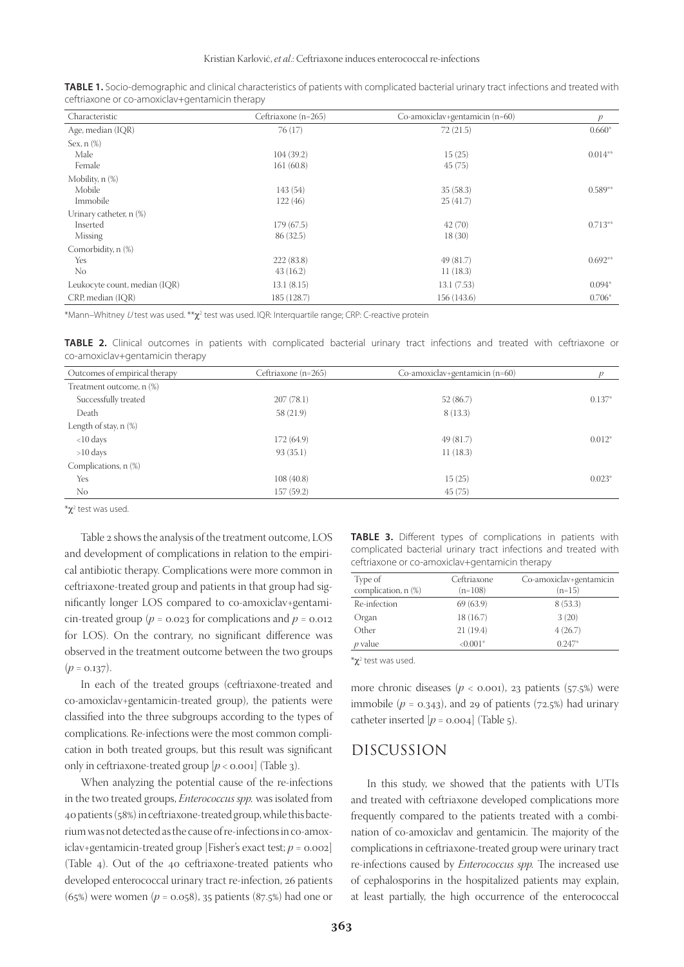| Characteristic                | Ceftriaxone (n=265) | Co-amoxiclav+gentamicin (n=60) | $\boldsymbol{p}$ |
|-------------------------------|---------------------|--------------------------------|------------------|
| Age, median (IQR)             | 76(17)              | 72(21.5)                       | $0.660*$         |
| Sex, $n$ $(\%)$               |                     |                                |                  |
| Male                          | 104(39.2)           | 15(25)                         | $0.014**$        |
| Female                        | 161(60.8)           | 45(75)                         |                  |
| Mobility, n (%)               |                     |                                |                  |
| Mobile                        | 143 (54)            | 35(58.3)                       | $0.589**$        |
| Immobile                      | 122(46)             | 25(41.7)                       |                  |
| Urinary catheter, n (%)       |                     |                                |                  |
| Inserted                      | 179(67.5)           | 42(70)                         | $0.713**$        |
| Missing                       | 86 (32.5)           | 18(30)                         |                  |
| Comorbidity, n (%)            |                     |                                |                  |
| Yes                           | 222(83.8)           | 49 (81.7)                      | $0.692**$        |
| No                            | 43(16.2)            | 11(18.3)                       |                  |
| Leukocyte count, median (IQR) | 13.1(8.15)          | 13.1(7.53)                     | $0.094*$         |
| CRP, median (IOR)             | 185 (128.7)         | 156 (143.6)                    | $0.706*$         |

**TABLE 1.** Socio-demographic and clinical characteristics of patients with complicated bacterial urinary tract infections and treated with ceftriaxone or co-amoxiclav+gentamicin therapy

\*Mann–Whitney  $U$ test was used. \*\* $\chi^2$  test was used. IQR: Interquartile range; CRP: C-reactive protein

**TABLE 2.** Clinical outcomes in patients with complicated bacterial urinary tract infections and treated with ceftriaxone or co-amoxiclav+gentamicin therapy

| Outcomes of empirical therapy | Ceftriaxone (n=265) | Co-amoxiclav+gentamicin (n=60) |          |
|-------------------------------|---------------------|--------------------------------|----------|
| Treatment outcome, n (%)      |                     |                                |          |
| Successfully treated          | 207(78.1)           | 52 (86.7)                      | $0.137*$ |
| Death                         | 58 (21.9)           | 8(13.3)                        |          |
| Length of stay, $n$ $(\%)$    |                     |                                |          |
| $<$ 10 days                   | 172(64.9)           | 49 (81.7)                      | $0.012*$ |
| $>10$ days                    | 93(35.1)            | 11(18.3)                       |          |
| Complications, n (%)          |                     |                                |          |
| Yes                           | 108(40.8)           | 15(25)                         | $0.023*$ |
| No.                           | 157(59.2)           | 45(75)                         |          |
|                               |                     |                                |          |

\*χ<sup>2</sup> test was used.

Table 2 shows the analysis of the treatment outcome, LOS and development of complications in relation to the empirical antibiotic therapy. Complications were more common in ceftriaxone-treated group and patients in that group had significantly longer LOS compared to co-amoxiclav+gentamicin-treated group ( $p = 0.023$  for complications and  $p = 0.012$ for LOS). On the contrary, no significant difference was observed in the treatment outcome between the two groups  $(p = 0.137)$ .

In each of the treated groups (ceftriaxone-treated and co-amoxiclav+gentamicin-treated group), the patients were classified into the three subgroups according to the types of complications. Re-infections were the most common complication in both treated groups, but this result was significant only in ceftriaxone-treated group  $[p < 0.001]$  (Table 3).

When analyzing the potential cause of the re-infections in the two treated groups, *Enterococcus spp.* was isolated from 40 patients (58%) in ceftriaxone-treated group, while this bacterium was not detected as the cause of re-infections in co-amoxiclav+gentamicin-treated group [Fisher's exact test;  $p = 0.002$ ] (Table 4). Out of the 40 ceftriaxone-treated patients who developed enterococcal urinary tract re-infection, 26 patients (65%) were women (*p* = 0.058), 35 patients (87.5%) had one or

**TABLE 3.** Different types of complications in patients with complicated bacterial urinary tract infections and treated with ceftriaxone or co-amoxiclav+gentamicin therapy

| Type of             | Ceftriaxone | Co-amoxiclav+gentamicin |
|---------------------|-------------|-------------------------|
| complication, n (%) | $(n=108)$   | $(n=15)$                |
| Re-infection        | 69 (63.9)   | 8(53.3)                 |
| Organ               | 18 (16.7)   | 3(20)                   |
| Other               | 21(19.4)    | 4(26.7)                 |
| $p$ value           | $< 0.001*$  | $0.247*$                |
|                     |             |                         |

\*χ<sup>2</sup> test was used.

more chronic diseases  $(p < 0.001)$ , 23 patients (57.5%) were immobile  $(p = 0.343)$ , and 29 of patients (72.5%) had urinary catheter inserted  $[p = 0.004]$  (Table 5).

### DISCUSSION

In this study, we showed that the patients with UTIs and treated with ceftriaxone developed complications more frequently compared to the patients treated with a combination of co-amoxiclav and gentamicin. The majority of the complications in ceftriaxone-treated group were urinary tract re-infections caused by *Enterococcus spp.* The increased use of cephalosporins in the hospitalized patients may explain, at least partially, the high occurrence of the enterococcal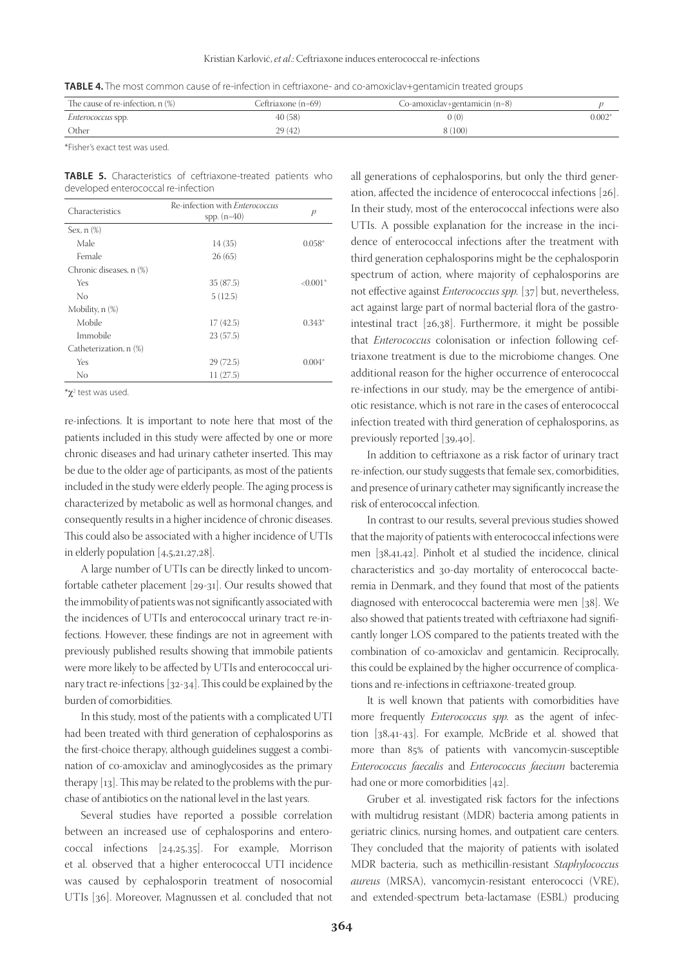**TABLE 4.** The most common cause of re-infection in ceftriaxone- and co-amoxiclav+gentamicin treated groups

| The cause of re-infection, $n$ $%$ | Ceftriaxone (n=69) | Co-amoxiclav+gentamicin (n=8) |          |
|------------------------------------|--------------------|-------------------------------|----------|
| <i>Enterococcus</i> spp.           | 40(58)             | 0(0)                          | $0.002*$ |
| Other                              | 29(42)             | 8 (100)                       |          |

\*Fisher's exact test was used.

**TABLE 5.** Characteristics of ceftriaxone-treated patients who developed enterococcal re-infection

| Characteristics         | Re-infection with <i>Enterococcus</i><br>spp. $(n=40)$ | $\mathcal{P}$ |
|-------------------------|--------------------------------------------------------|---------------|
| Sex, $n$ $(\%)$         |                                                        |               |
| Male                    | 14(35)                                                 | $0.058*$      |
| Female                  | 26(65)                                                 |               |
| Chronic diseases, n (%) |                                                        |               |
| Yes                     | 35(87.5)                                               | $< 0.001*$    |
| No                      | 5(12.5)                                                |               |
| Mobility, n (%)         |                                                        |               |
| Mobile                  | 17(42.5)                                               | $0.343*$      |
| Immobile                | 23(57.5)                                               |               |
| Catheterization, n (%)  |                                                        |               |
| Yes                     | 29(72.5)                                               | $0.004*$      |
| No                      | 11(27.5)                                               |               |
|                         |                                                        |               |

 $*$ χ<sup>2</sup> test was used.

re-infections. It is important to note here that most of the patients included in this study were affected by one or more chronic diseases and had urinary catheter inserted. This may be due to the older age of participants, as most of the patients included in the study were elderly people. The aging process is characterized by metabolic as well as hormonal changes, and consequently results in a higher incidence of chronic diseases. This could also be associated with a higher incidence of UTIs in elderly population [4,5,21,27,28].

A large number of UTIs can be directly linked to uncomfortable catheter placement [29-31]. Our results showed that the immobility of patients was not significantly associated with the incidences of UTIs and enterococcal urinary tract re-infections. However, these findings are not in agreement with previously published results showing that immobile patients were more likely to be affected by UTIs and enterococcal urinary tract re-infections [32-34]. This could be explained by the burden of comorbidities.

In this study, most of the patients with a complicated UTI had been treated with third generation of cephalosporins as the first-choice therapy, although guidelines suggest a combination of co-amoxiclav and aminoglycosides as the primary therapy [13]. This may be related to the problems with the purchase of antibiotics on the national level in the last years.

Several studies have reported a possible correlation between an increased use of cephalosporins and enterococcal infections [24,25,35]. For example, Morrison et al. observed that a higher enterococcal UTI incidence was caused by cephalosporin treatment of nosocomial UTIs [36]. Moreover, Magnussen et al. concluded that not

all generations of cephalosporins, but only the third generation, affected the incidence of enterococcal infections [26]. In their study, most of the enterococcal infections were also UTIs. A possible explanation for the increase in the incidence of enterococcal infections after the treatment with third generation cephalosporins might be the cephalosporin spectrum of action, where majority of cephalosporins are not effective against *Enterococcus spp.* [37] but, nevertheless, act against large part of normal bacterial flora of the gastrointestinal tract [26,38]. Furthermore, it might be possible that *Enterococcus* colonisation or infection following ceftriaxone treatment is due to the microbiome changes. One additional reason for the higher occurrence of enterococcal re-infections in our study, may be the emergence of antibiotic resistance, which is not rare in the cases of enterococcal infection treated with third generation of cephalosporins, as previously reported [39,40].

In addition to ceftriaxone as a risk factor of urinary tract re-infection, our study suggests that female sex, comorbidities, and presence of urinary catheter may significantly increase the risk of enterococcal infection.

In contrast to our results, several previous studies showed that the majority of patients with enterococcal infections were men [38,41,42]. Pinholt et al studied the incidence, clinical characteristics and 30-day mortality of enterococcal bacteremia in Denmark, and they found that most of the patients diagnosed with enterococcal bacteremia were men [38]. We also showed that patients treated with ceftriaxone had significantly longer LOS compared to the patients treated with the combination of co-amoxiclav and gentamicin. Reciprocally, this could be explained by the higher occurrence of complications and re-infections in ceftriaxone-treated group.

It is well known that patients with comorbidities have more frequently *Enterococcus spp.* as the agent of infection [38,41-43]. For example, McBride et al. showed that more than 85% of patients with vancomycin-susceptible *Enterococcus faecalis* and *Enterococcus faecium* bacteremia had one or more comorbidities [42].

Gruber et al. investigated risk factors for the infections with multidrug resistant (MDR) bacteria among patients in geriatric clinics, nursing homes, and outpatient care centers. They concluded that the majority of patients with isolated MDR bacteria, such as methicillin-resistant *Staphylococcus aureus* (MRSA), vancomycin-resistant enterococci (VRE), and extended-spectrum beta-lactamase (ESBL) producing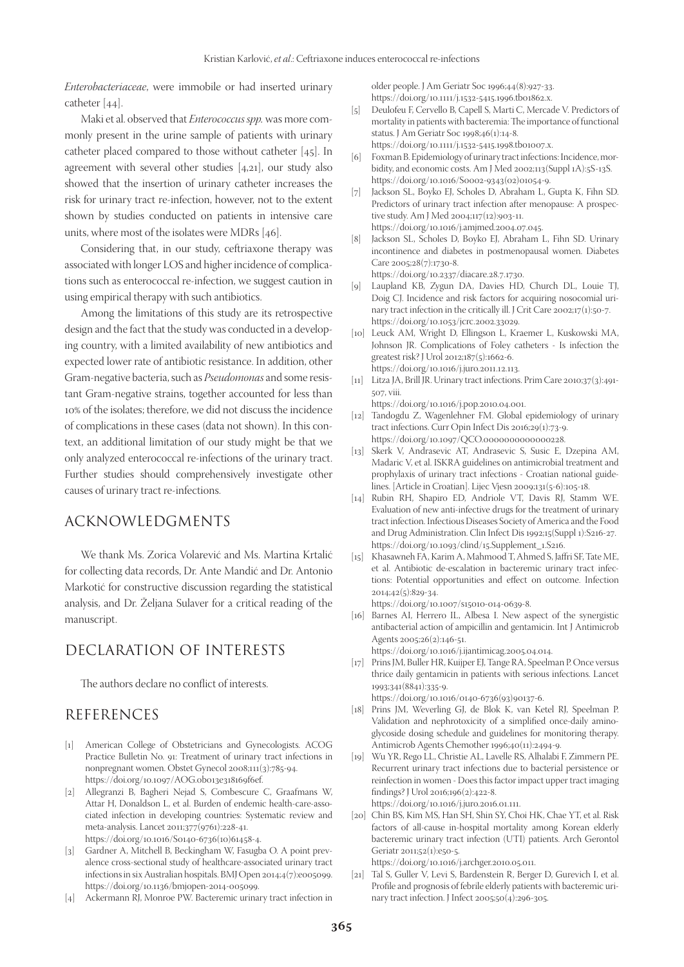*Enterobacteriaceae*, were immobile or had inserted urinary catheter [44].

Maki et al. observed that *Enterococcus spp.* was more commonly present in the urine sample of patients with urinary catheter placed compared to those without catheter [45]. In agreement with several other studies [4,21], our study also showed that the insertion of urinary catheter increases the risk for urinary tract re-infection, however, not to the extent shown by studies conducted on patients in intensive care units, where most of the isolates were MDRs [46].

Considering that, in our study, ceftriaxone therapy was associated with longer LOS and higher incidence of complications such as enterococcal re-infection, we suggest caution in using empirical therapy with such antibiotics.

Among the limitations of this study are its retrospective design and the fact that the study was conducted in a developing country, with a limited availability of new antibiotics and expected lower rate of antibiotic resistance. In addition, other Gram-negative bacteria, such as *Pseudomonas* and some resistant Gram-negative strains, together accounted for less than 10% of the isolates; therefore, we did not discuss the incidence of complications in these cases (data not shown). In this context, an additional limitation of our study might be that we only analyzed enterococcal re-infections of the urinary tract. Further studies should comprehensively investigate other causes of urinary tract re-infections.

## ACKNOWLEDGMENTS

We thank Ms. Zorica Volarević and Ms. Martina Krtalić for collecting data records, Dr. Ante Mandić and Dr. Antonio Markotić for constructive discussion regarding the statistical analysis, and Dr. Željana Sulaver for a critical reading of the manuscript.

## DECLARATION OF INTERESTS

The authors declare no conflict of interests.

#### REFERENCES

- [1] American College of Obstetricians and Gynecologists. ACOG Practice Bulletin No. 91: Treatment of urinary tract infections in nonpregnant women. Obstet Gynecol 2008;111(3):785-94. https://doi.org/10.1097/AOG.0b013e318169f6ef.
- [2] Allegranzi B, Bagheri Nejad S, Combescure C, Graafmans W, Attar H, Donaldson L, et al. Burden of endemic health-care-associated infection in developing countries: Systematic review and meta-analysis. Lancet 2011;377(9761):228-41. https://doi.org/10.1016/S0140-6736(10)61458-4.
- [3] Gardner A, Mitchell B, Beckingham W, Fasugba O. A point prevalence cross-sectional study of healthcare-associated urinary tract infections in six Australian hospitals. BMJ Open 2014;4(7):e005099. https://doi.org/10.1136/bmjopen-2014-005099.
- [4] Ackermann RJ, Monroe PW. Bacteremic urinary tract infection in

older people. J Am Geriatr Soc 1996;44(8):927-33. https://doi.org/10.1111/j.1532-5415.1996.tb01862.x.

- [5] Deulofeu F, Cervello B, Capell S, Marti C, Mercade V. Predictors of mortality in patients with bacteremia: The importance of functional status. J Am Geriatr Soc 1998;46(1):14-8. https://doi.org/10.1111/j.1532-5415.1998.tb01007.x.
- [6] Foxman B. Epidemiology of urinary tract infections: Incidence, morbidity, and economic costs. Am J Med 2002;113(Suppl 1A):5S-13S. https://doi.org/10.1016/S0002-9343(02)01054-9.
- [7] Jackson SL, Boyko EJ, Scholes D, Abraham L, Gupta K, Fihn SD. Predictors of urinary tract infection after menopause: A prospective study. Am J Med 2004;117(12):903-11. https://doi.org/10.1016/j.amjmed.2004.07.045.
- [8] Jackson SL, Scholes D, Boyko EJ, Abraham L, Fihn SD. Urinary incontinence and diabetes in postmenopausal women. Diabetes Care 2005;28(7):1730-8. https://doi.org/10.2337/diacare.28.7.1730.
- [9] Laupland KB, Zygun DA, Davies HD, Church DL, Louie TJ, Doig CJ. Incidence and risk factors for acquiring nosocomial urinary tract infection in the critically ill. J Crit Care 2002;17(1):50-7. https://doi.org/10.1053/jcrc.2002.33029.
- [10] Leuck AM, Wright D, Ellingson L, Kraemer L, Kuskowski MA, Johnson JR. Complications of Foley catheters - Is infection the greatest risk? J Urol 2012;187(5):1662-6. https://doi.org/10.1016/j.juro.2011.12.113.
- [11] Litza JA, Brill JR. Urinary tract infections. Prim Care 2010;37(3):491-507, viii.

https://doi.org/10.1016/j.pop.2010.04.001.

- [12] Tandogdu Z, Wagenlehner FM. Global epidemiology of urinary tract infections. Curr Opin Infect Dis 2016;29(1):73-9. https://doi.org/10.1097/QCO.0000000000000228.
- [13] Skerk V, Andrasevic AT, Andrasevic S, Susic E, Dzepina AM, Madaric V, et al. ISKRA guidelines on antimicrobial treatment and prophylaxis of urinary tract infections - Croatian national guidelines. [Article in Croatian]. Lijec Vjesn 2009;131(5-6):105-18.
- [14] Rubin RH, Shapiro ED, Andriole VT, Davis RJ, Stamm WE. Evaluation of new anti-infective drugs for the treatment of urinary tract infection. Infectious Diseases Society of America and the Food and Drug Administration. Clin Infect Dis 1992;15(Suppl 1):S216-27. https://doi.org/10.1093/clind/15.Supplement\_1.S216.
- [15] Khasawneh FA, Karim A, Mahmood T, Ahmed S, Jaffri SF, Tate ME, et al. Antibiotic de-escalation in bacteremic urinary tract infections: Potential opportunities and effect on outcome. Infection 2014;42(5):829-34.

https://doi.org/10.1007/s15010-014-0639-8.

[16] Barnes AI, Herrero IL, Albesa I. New aspect of the synergistic antibacterial action of ampicillin and gentamicin. Int J Antimicrob Agents 2005;26(2):146-51.

https://doi.org/10.1016/j.ijantimicag.2005.04.014.

[17] Prins JM, Buller HR, Kuijper EJ, Tange RA, Speelman P. Once versus thrice daily gentamicin in patients with serious infections. Lancet 1993;341(8841):335-9.

https://doi.org/10.1016/0140-6736(93)90137-6.

- [18] Prins JM, Weverling GJ, de Blok K, van Ketel RJ, Speelman P. Validation and nephrotoxicity of a simplified once-daily aminoglycoside dosing schedule and guidelines for monitoring therapy. Antimicrob Agents Chemother 1996;40(11):2494-9.
- [19] Wu YR, Rego LL, Christie AL, Lavelle RS, Alhalabi F, Zimmern PE. Recurrent urinary tract infections due to bacterial persistence or reinfection in women - Does this factor impact upper tract imaging findings? J Urol 2016;196(2):422-8. https://doi.org/10.1016/j.juro.2016.01.111.
- [20] Chin BS, Kim MS, Han SH, Shin SY, Choi HK, Chae YT, et al. Risk factors of all-cause in-hospital mortality among Korean elderly bacteremic urinary tract infection (UTI) patients. Arch Gerontol Geriatr 2011;52(1):e50-5.

https://doi.org/10.1016/j.archger.2010.05.011.

[21] Tal S, Guller V, Levi S, Bardenstein R, Berger D, Gurevich I, et al. Profile and prognosis of febrile elderly patients with bacteremic urinary tract infection. J Infect 2005;50(4):296-305.